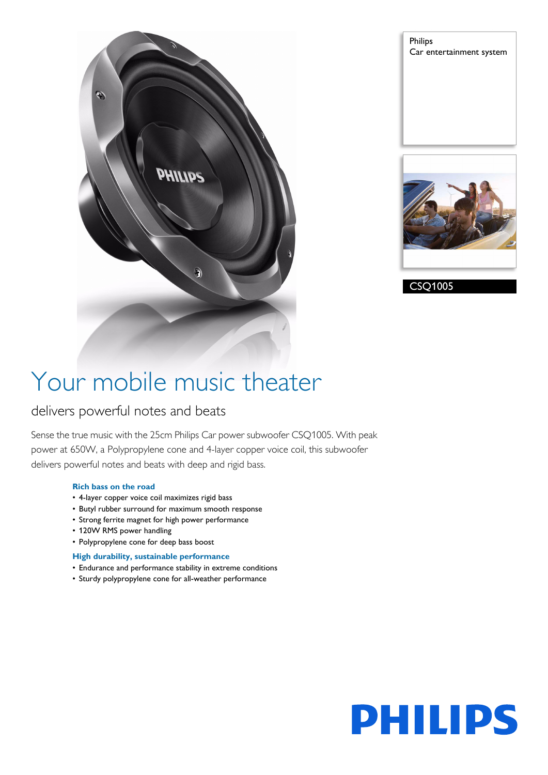

Philips Car entertainment system



CSQ1005

# Your mobile music theater

# delivers powerful notes and beats

Sense the true music with the 25cm Philips Car power subwoofer CSQ1005. With peak power at 650W, a Polypropylene cone and 4-layer copper voice coil, this subwoofer delivers powerful notes and beats with deep and rigid bass.

## **Rich bass on the road**

- 4-layer copper voice coil maximizes rigid bass
- Butyl rubber surround for maximum smooth response
- Strong ferrite magnet for high power performance
- 120W RMS power handling
- Polypropylene cone for deep bass boost

# **High durability, sustainable performance**

- Endurance and performance stability in extreme conditions
- Sturdy polypropylene cone for all-weather performance